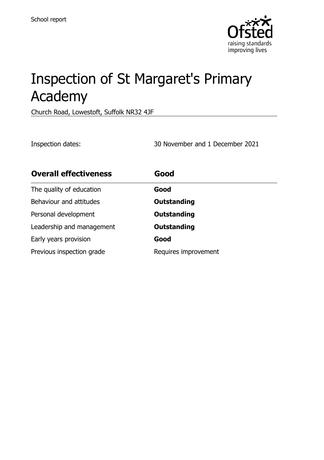

# Inspection of St Margaret's Primary Academy

Church Road, Lowestoft, Suffolk NR32 4JF

Inspection dates: 30 November and 1 December 2021

| <b>Overall effectiveness</b> | Good                 |
|------------------------------|----------------------|
| The quality of education     | Good                 |
| Behaviour and attitudes      | <b>Outstanding</b>   |
| Personal development         | <b>Outstanding</b>   |
| Leadership and management    | <b>Outstanding</b>   |
| Early years provision        | Good                 |
| Previous inspection grade    | Requires improvement |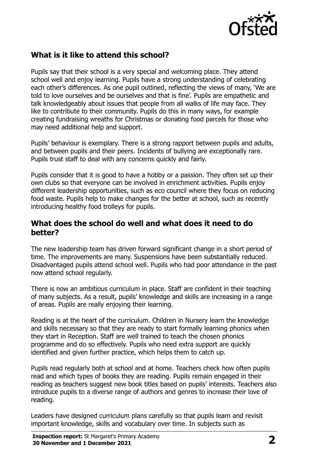

# **What is it like to attend this school?**

Pupils say that their school is a very special and welcoming place. They attend school well and enjoy learning. Pupils have a strong understanding of celebrating each other's differences. As one pupil outlined, reflecting the views of many, 'We are told to love ourselves and be ourselves and that is fine'. Pupils are empathetic and talk knowledgeably about issues that people from all walks of life may face. They like to contribute to their community. Pupils do this in many ways, for example creating fundraising wreaths for Christmas or donating food parcels for those who may need additional help and support.

Pupils' behaviour is exemplary. There is a strong rapport between pupils and adults, and between pupils and their peers. Incidents of bullying are exceptionally rare. Pupils trust staff to deal with any concerns quickly and fairly.

Pupils consider that it is good to have a hobby or a passion. They often set up their own clubs so that everyone can be involved in enrichment activities. Pupils enjoy different leadership opportunities, such as eco council where they focus on reducing food waste. Pupils help to make changes for the better at school, such as recently introducing healthy food trolleys for pupils.

#### **What does the school do well and what does it need to do better?**

The new leadership team has driven forward significant change in a short period of time. The improvements are many. Suspensions have been substantially reduced. Disadvantaged pupils attend school well. Pupils who had poor attendance in the past now attend school regularly.

There is now an ambitious curriculum in place. Staff are confident in their teaching of many subjects. As a result, pupils' knowledge and skills are increasing in a range of areas. Pupils are really enjoying their learning.

Reading is at the heart of the curriculum. Children in Nursery learn the knowledge and skills necessary so that they are ready to start formally learning phonics when they start in Reception. Staff are well trained to teach the chosen phonics programme and do so effectively. Pupils who need extra support are quickly identified and given further practice, which helps them to catch up.

Pupils read regularly both at school and at home. Teachers check how often pupils read and which types of books they are reading. Pupils remain engaged in their reading as teachers suggest new book titles based on pupils' interests. Teachers also introduce pupils to a diverse range of authors and genres to increase their love of reading.

Leaders have designed curriculum plans carefully so that pupils learn and revisit important knowledge, skills and vocabulary over time. In subjects such as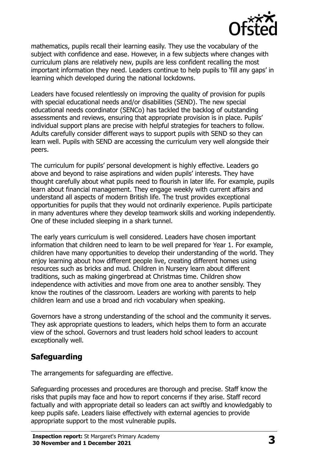

mathematics, pupils recall their learning easily. They use the vocabulary of the subject with confidence and ease. However, in a few subjects where changes with curriculum plans are relatively new, pupils are less confident recalling the most important information they need. Leaders continue to help pupils to 'fill any gaps' in learning which developed during the national lockdowns.

Leaders have focused relentlessly on improving the quality of provision for pupils with special educational needs and/or disabilities (SEND). The new special educational needs coordinator (SENCo) has tackled the backlog of outstanding assessments and reviews, ensuring that appropriate provision is in place. Pupils' individual support plans are precise with helpful strategies for teachers to follow. Adults carefully consider different ways to support pupils with SEND so they can learn well. Pupils with SEND are accessing the curriculum very well alongside their peers.

The curriculum for pupils' personal development is highly effective. Leaders go above and beyond to raise aspirations and widen pupils' interests. They have thought carefully about what pupils need to flourish in later life. For example, pupils learn about financial management. They engage weekly with current affairs and understand all aspects of modern British life. The trust provides exceptional opportunities for pupils that they would not ordinarily experience. Pupils participate in many adventures where they develop teamwork skills and working independently. One of these included sleeping in a shark tunnel.

The early years curriculum is well considered. Leaders have chosen important information that children need to learn to be well prepared for Year 1. For example, children have many opportunities to develop their understanding of the world. They enjoy learning about how different people live, creating different homes using resources such as bricks and mud. Children in Nursery learn about different traditions, such as making gingerbread at Christmas time. Children show independence with activities and move from one area to another sensibly. They know the routines of the classroom. Leaders are working with parents to help children learn and use a broad and rich vocabulary when speaking.

Governors have a strong understanding of the school and the community it serves. They ask appropriate questions to leaders, which helps them to form an accurate view of the school. Governors and trust leaders hold school leaders to account exceptionally well.

# **Safeguarding**

The arrangements for safeguarding are effective.

Safeguarding processes and procedures are thorough and precise. Staff know the risks that pupils may face and how to report concerns if they arise. Staff record factually and with appropriate detail so leaders can act swiftly and knowledgably to keep pupils safe. Leaders liaise effectively with external agencies to provide appropriate support to the most vulnerable pupils.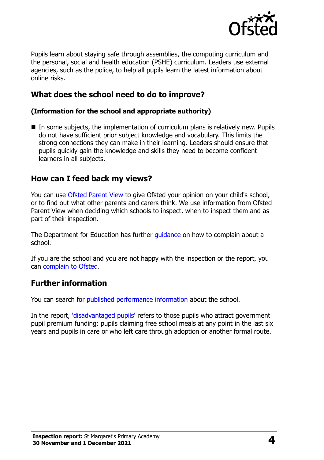

Pupils learn about staying safe through assemblies, the computing curriculum and the personal, social and health education (PSHE) curriculum. Leaders use external agencies, such as the police, to help all pupils learn the latest information about online risks.

## **What does the school need to do to improve?**

#### **(Information for the school and appropriate authority)**

 In some subjects, the implementation of curriculum plans is relatively new. Pupils do not have sufficient prior subject knowledge and vocabulary. This limits the strong connections they can make in their learning. Leaders should ensure that pupils quickly gain the knowledge and skills they need to become confident learners in all subjects.

### **How can I feed back my views?**

You can use [Ofsted Parent View](http://parentview.ofsted.gov.uk/) to give Ofsted your opinion on your child's school, or to find out what other parents and carers think. We use information from Ofsted Parent View when deciding which schools to inspect, when to inspect them and as part of their inspection.

The Department for Education has further quidance on how to complain about a school.

If you are the school and you are not happy with the inspection or the report, you can [complain to Ofsted.](http://www.gov.uk/complain-ofsted-report)

#### **Further information**

You can search for [published performance information](http://www.compare-school-performance.service.gov.uk/) about the school.

In the report, ['disadvantaged pupils'](http://www.gov.uk/guidance/pupil-premium-information-for-schools-and-alternative-provision-settings) refers to those pupils who attract government pupil premium funding: pupils claiming free school meals at any point in the last six years and pupils in care or who left care through adoption or another formal route.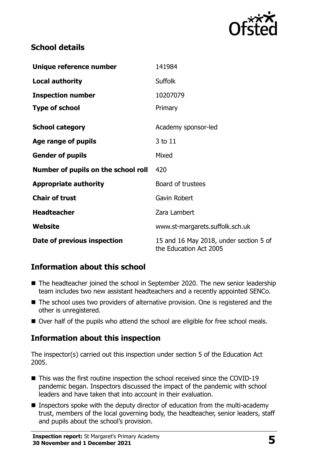

## **School details**

| Unique reference number             | 141984                                                           |  |
|-------------------------------------|------------------------------------------------------------------|--|
| <b>Local authority</b>              | <b>Suffolk</b>                                                   |  |
| <b>Inspection number</b>            | 10207079                                                         |  |
| <b>Type of school</b>               | Primary                                                          |  |
| <b>School category</b>              | Academy sponsor-led                                              |  |
| Age range of pupils                 | 3 to 11                                                          |  |
| <b>Gender of pupils</b>             | Mixed                                                            |  |
| Number of pupils on the school roll | 420                                                              |  |
| <b>Appropriate authority</b>        | Board of trustees                                                |  |
| <b>Chair of trust</b>               | Gavin Robert                                                     |  |
| <b>Headteacher</b>                  | Zara Lambert                                                     |  |
| Website                             | www.st-margarets.suffolk.sch.uk                                  |  |
| Date of previous inspection         | 15 and 16 May 2018, under section 5 of<br>the Education Act 2005 |  |

# **Information about this school**

- The headteacher joined the school in September 2020. The new senior leadership team includes two new assistant headteachers and a recently appointed SENCo.
- The school uses two providers of alternative provision. One is registered and the other is unregistered.
- Over half of the pupils who attend the school are eligible for free school meals.

# **Information about this inspection**

The inspector(s) carried out this inspection under section 5 of the Education Act 2005.

- This was the first routine inspection the school received since the COVID-19 pandemic began. Inspectors discussed the impact of the pandemic with school leaders and have taken that into account in their evaluation.
- **Inspectors spoke with the deputy director of education from the multi-academy** trust, members of the local governing body, the headteacher, senior leaders, staff and pupils about the school's provision.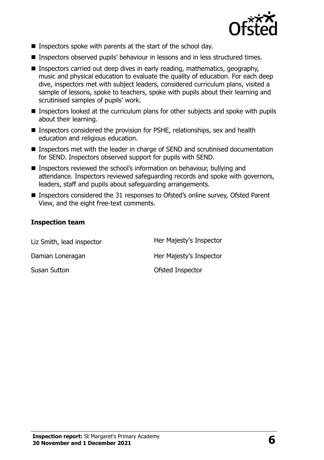

- **Inspectors spoke with parents at the start of the school day.**
- Inspectors observed pupils' behaviour in lessons and in less structured times.
- **Inspectors carried out deep dives in early reading, mathematics, geography,** music and physical education to evaluate the quality of education. For each deep dive, inspectors met with subject leaders, considered curriculum plans, visited a sample of lessons, spoke to teachers, spoke with pupils about their learning and scrutinised samples of pupils' work.
- Inspectors looked at the curriculum plans for other subjects and spoke with pupils about their learning.
- Inspectors considered the provision for PSHE, relationships, sex and health education and religious education.
- Inspectors met with the leader in charge of SEND and scrutinised documentation for SEND. Inspectors observed support for pupils with SEND.
- Inspectors reviewed the school's information on behaviour, bullying and attendance. Inspectors reviewed safeguarding records and spoke with governors, leaders, staff and pupils about safeguarding arrangements.
- Inspectors considered the 31 responses to Ofsted's online survey, Ofsted Parent View, and the eight free-text comments.

#### **Inspection team**

| Liz Smith, lead inspector | Her Majesty's Inspector |
|---------------------------|-------------------------|
| Damian Loneragan          | Her Majesty's Inspector |
| Susan Sutton              | Ofsted Inspector        |